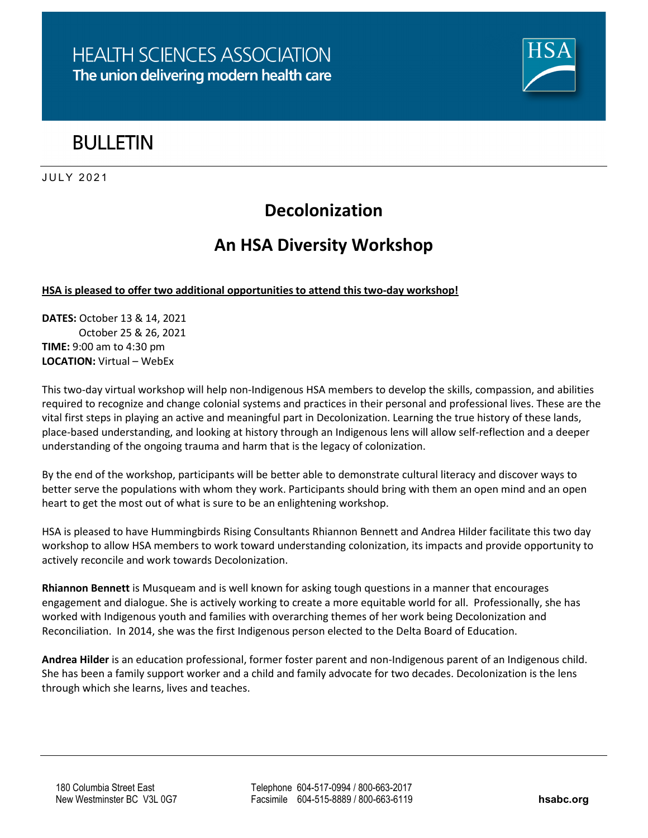

# **RULLETIN**

**JULY 2021** 

## **Decolonization**

### **An HSA Diversity Workshop**

#### **HSA is pleased to offer two additional opportunities to attend this two-day workshop!**

**DATES:** October 13 & 14, 2021 October 25 & 26, 2021 **TIME:** 9:00 am to 4:30 pm **LOCATION:** Virtual – WebEx

This two-day virtual workshop will help non-Indigenous HSA members to develop the skills, compassion, and abilities required to recognize and change colonial systems and practices in their personal and professional lives. These are the vital first steps in playing an active and meaningful part in Decolonization. Learning the true history of these lands, place-based understanding, and looking at history through an Indigenous lens will allow self-reflection and a deeper understanding of the ongoing trauma and harm that is the legacy of colonization.

By the end of the workshop, participants will be better able to demonstrate cultural literacy and discover ways to better serve the populations with whom they work. Participants should bring with them an open mind and an open heart to get the most out of what is sure to be an enlightening workshop.

HSA is pleased to have Hummingbirds Rising Consultants Rhiannon Bennett and Andrea Hilder facilitate this two day workshop to allow HSA members to work toward understanding colonization, its impacts and provide opportunity to actively reconcile and work towards Decolonization.

**Rhiannon Bennett** is Musqueam and is well known for asking tough questions in a manner that encourages engagement and dialogue. She is actively working to create a more equitable world for all. Professionally, she has worked with Indigenous youth and families with overarching themes of her work being Decolonization and Reconciliation. In 2014, she was the first Indigenous person elected to the Delta Board of Education.

**Andrea Hilder** is an education professional, former foster parent and non-Indigenous parent of an Indigenous child. She has been a family support worker and a child and family advocate for two decades. Decolonization is the lens through which she learns, lives and teaches.